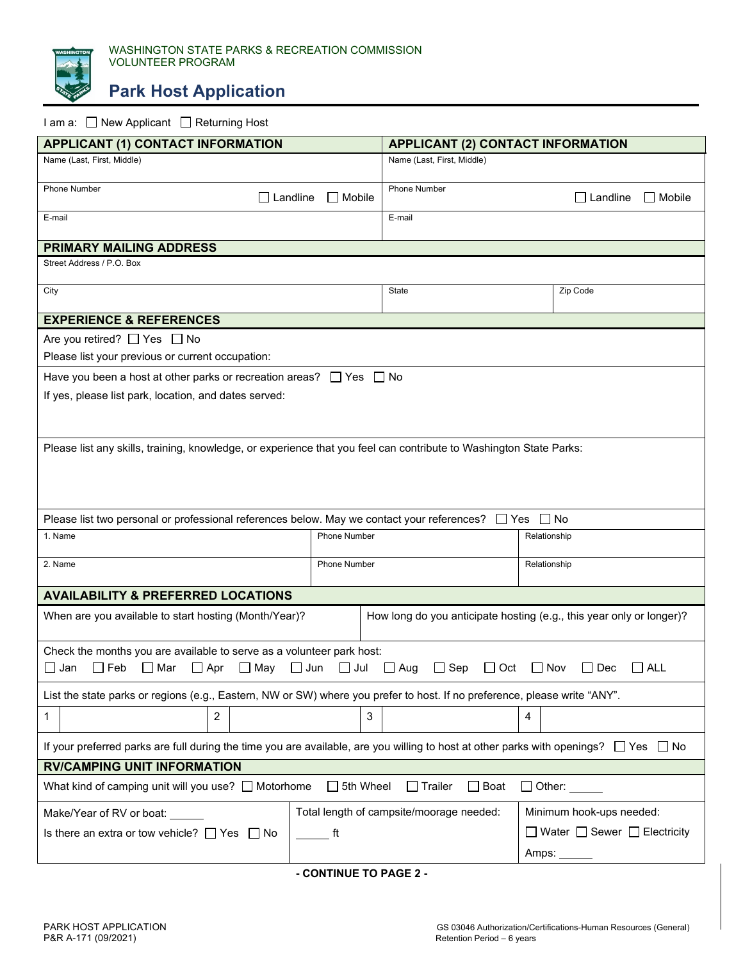

**Park Host Application**

## I am a: □ New Applicant □ Returning Host

| <b>APPLICANT (1) CONTACT INFORMATION</b>                                                                                                                                |                                          | <b>APPLICANT (2) CONTACT INFORMATION</b>                             |                                  |  |
|-------------------------------------------------------------------------------------------------------------------------------------------------------------------------|------------------------------------------|----------------------------------------------------------------------|----------------------------------|--|
| Name (Last, First, Middle)                                                                                                                                              |                                          | Name (Last, First, Middle)                                           |                                  |  |
| <b>Phone Number</b><br>$\Box$ Landline                                                                                                                                  | $\Box$ Mobile                            | Phone Number                                                         | $\Box$ Landline<br>$\Box$ Mobile |  |
| E-mail                                                                                                                                                                  |                                          | E-mail                                                               |                                  |  |
| <b>PRIMARY MAILING ADDRESS</b>                                                                                                                                          |                                          |                                                                      |                                  |  |
| Street Address / P.O. Box                                                                                                                                               |                                          |                                                                      |                                  |  |
| City                                                                                                                                                                    |                                          | State                                                                | Zip Code                         |  |
| <b>EXPERIENCE &amp; REFERENCES</b>                                                                                                                                      |                                          |                                                                      |                                  |  |
| Are you retired? $\Box$ Yes $\Box$ No                                                                                                                                   |                                          |                                                                      |                                  |  |
| Please list your previous or current occupation:                                                                                                                        |                                          |                                                                      |                                  |  |
| Have you been a host at other parks or recreation areas? $\Box$ Yes $\Box$ No                                                                                           |                                          |                                                                      |                                  |  |
| If yes, please list park, location, and dates served:                                                                                                                   |                                          |                                                                      |                                  |  |
|                                                                                                                                                                         |                                          |                                                                      |                                  |  |
| Please list any skills, training, knowledge, or experience that you feel can contribute to Washington State Parks:                                                      |                                          |                                                                      |                                  |  |
|                                                                                                                                                                         |                                          |                                                                      |                                  |  |
|                                                                                                                                                                         |                                          |                                                                      |                                  |  |
|                                                                                                                                                                         |                                          |                                                                      |                                  |  |
| Please list two personal or professional references below. May we contact your references? □ Yes<br>l INo                                                               |                                          |                                                                      |                                  |  |
| 1. Name                                                                                                                                                                 | <b>Phone Number</b>                      |                                                                      | Relationship                     |  |
| 2. Name                                                                                                                                                                 | <b>Phone Number</b>                      |                                                                      | Relationship                     |  |
|                                                                                                                                                                         |                                          |                                                                      |                                  |  |
| <b>AVAILABILITY &amp; PREFERRED LOCATIONS</b>                                                                                                                           |                                          |                                                                      |                                  |  |
| When are you available to start hosting (Month/Year)?                                                                                                                   |                                          | How long do you anticipate hosting (e.g., this year only or longer)? |                                  |  |
| Check the months you are available to serve as a volunteer park host:                                                                                                   |                                          |                                                                      |                                  |  |
| ∐ Jan<br>$\Box$ Feb<br>∐ Mar<br>$\Box$ Apr<br>□ May<br>$\Box$ Jun<br>$\Box$ Jul<br>$\Box$ Aug<br>$\Box$ Sep<br>$\Box$ Oct<br>$\Box$ Nov<br>Dec<br><b>ALL</b><br>$\perp$ |                                          |                                                                      |                                  |  |
| List the state parks or regions (e.g., Eastern, NW or SW) where you prefer to host. If no preference, please write "ANY".                                               |                                          |                                                                      |                                  |  |
| $\overline{2}$<br>1                                                                                                                                                     | 3                                        | 4                                                                    |                                  |  |
| If your preferred parks are full during the time you are available, are you willing to host at other parks with openings? $\Box$ Yes $\Box$ No                          |                                          |                                                                      |                                  |  |
| <b>RV/CAMPING UNIT INFORMATION</b>                                                                                                                                      |                                          |                                                                      |                                  |  |
| What kind of camping unit will you use? Motorhome<br>$\Box$ 5th Wheel<br>$\Box$ Boat<br>$\square$ Trailer<br>$\Box$ Other:                                              |                                          |                                                                      |                                  |  |
| Make/Year of RV or boat:                                                                                                                                                | Total length of campsite/moorage needed: |                                                                      | Minimum hook-ups needed:         |  |
| Is there an extra or tow vehicle? $\Box$ Yes $\Box$ No<br>ft.                                                                                                           |                                          |                                                                      | □ Water □ Sewer □ Electricity    |  |
|                                                                                                                                                                         |                                          |                                                                      | Amps:                            |  |
|                                                                                                                                                                         |                                          |                                                                      |                                  |  |

**- CONTINUE TO PAGE 2 -**